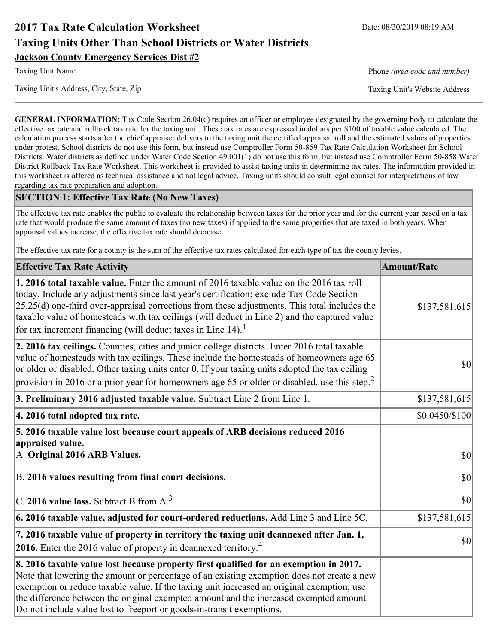# **2017 Tax Rate Calculation Worksheet** Date: 08/30/2019 08:19 AM **Taxing Units Other Than School Districts or Water Districts Jackson County Emergency Services Dist #2**

Taxing Unit's Address, City, State, Zip Taxing Unit's Website Address

Taxing Unit Name **Phone** *(area code and number)* Phone *(area code and number)* 

**GENERAL INFORMATION:** Tax Code Section 26.04(c) requires an officer or employee designated by the governing body to calculate the effective tax rate and rollback tax rate for the taxing unit. These tax rates are expressed in dollars per \$100 of taxable value calculated. The calculation process starts after the chief appraiser delivers to the taxing unit the certified appraisal roll and the estimated values of properties under protest. School districts do not use this form, but instead use Comptroller Form 50-859 Tax Rate Calculation Worksheet for School Districts. Water districts as defined under Water Code Section 49.001(1) do not use this form, but instead use Comptroller Form 50-858 Water District Rollback Tax Rate Worksheet. This worksheet is provided to assist taxing units in determining tax rates. The information provided in this worksheet is offered as technical assistance and not legal advice. Taxing units should consult legal counsel for interpretations of law regarding tax rate preparation and adoption.

### **SECTION 1: Effective Tax Rate (No New Taxes)**

The effective tax rate enables the public to evaluate the relationship between taxes for the prior year and for the current year based on a tax rate that would produce the same amount of taxes (no new taxes) if applied to the same properties that are taxed in both years. When appraisal values increase, the effective tax rate should decrease.

The effective tax rate for a county is the sum of the effective tax rates calculated for each type of tax the county levies.

| <b>Effective Tax Rate Activity</b>                                                                                                                                                                                                                                                                                                                                                                                                                             | <b>Amount/Rate</b> |
|----------------------------------------------------------------------------------------------------------------------------------------------------------------------------------------------------------------------------------------------------------------------------------------------------------------------------------------------------------------------------------------------------------------------------------------------------------------|--------------------|
| <b>1. 2016 total taxable value.</b> Enter the amount of 2016 taxable value on the 2016 tax roll<br>today. Include any adjustments since last year's certification; exclude Tax Code Section<br>$[25.25(d)$ one-third over-appraisal corrections from these adjustments. This total includes the<br>taxable value of homesteads with tax ceilings (will deduct in Line 2) and the captured value<br>for tax increment financing (will deduct taxes in Line 14). | \$137,581,615      |
| 2. 2016 tax ceilings. Counties, cities and junior college districts. Enter 2016 total taxable<br>value of homesteads with tax ceilings. These include the homesteads of homeowners age 65<br>or older or disabled. Other taxing units enter 0. If your taxing units adopted the tax ceiling<br>provision in 2016 or a prior year for homeowners age 65 or older or disabled, use this step. <sup>2</sup>                                                       | 30                 |
| 3. Preliminary 2016 adjusted taxable value. Subtract Line 2 from Line 1.                                                                                                                                                                                                                                                                                                                                                                                       | \$137,581,615      |
| 4. 2016 total adopted tax rate.                                                                                                                                                                                                                                                                                                                                                                                                                                | $$0.0450/\$100$    |
| 5. 2016 taxable value lost because court appeals of ARB decisions reduced 2016<br>appraised value.<br>A. Original 2016 ARB Values.                                                                                                                                                                                                                                                                                                                             | $ 10\rangle$       |
| B. 2016 values resulting from final court decisions.                                                                                                                                                                                                                                                                                                                                                                                                           | \$0                |
| C. 2016 value loss. Subtract B from $A3$                                                                                                                                                                                                                                                                                                                                                                                                                       | $ 10\rangle$       |
| 6. 2016 taxable value, adjusted for court-ordered reductions. Add Line 3 and Line 5C.                                                                                                                                                                                                                                                                                                                                                                          | \$137,581,615      |
| 7. 2016 taxable value of property in territory the taxing unit deannexed after Jan. 1,<br><b>2016.</b> Enter the 2016 value of property in deannexed territory. <sup>4</sup>                                                                                                                                                                                                                                                                                   | $ 10\rangle$       |
| 8. 2016 taxable value lost because property first qualified for an exemption in 2017.<br>Note that lowering the amount or percentage of an existing exemption does not create a new<br>exemption or reduce taxable value. If the taxing unit increased an original exemption, use<br>the difference between the original exempted amount and the increased exempted amount.<br>Do not include value lost to freeport or goods-in-transit exemptions.           |                    |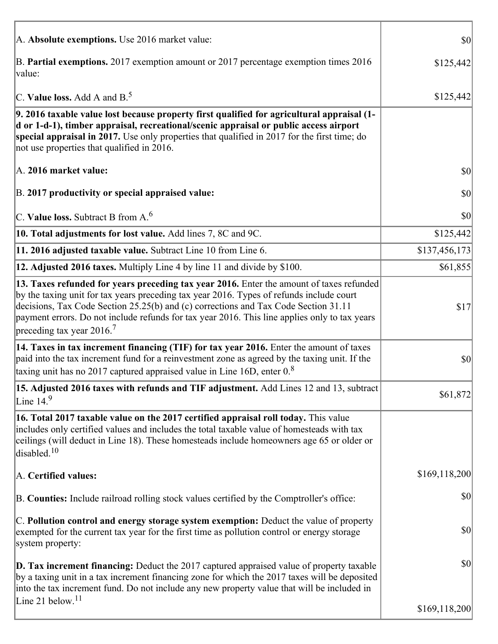| A. Absolute exemptions. Use 2016 market value:                                                                                                                                                                                                                                                                                                                                                                         | \$0           |
|------------------------------------------------------------------------------------------------------------------------------------------------------------------------------------------------------------------------------------------------------------------------------------------------------------------------------------------------------------------------------------------------------------------------|---------------|
| B. Partial exemptions. 2017 exemption amount or 2017 percentage exemption times 2016<br>value:                                                                                                                                                                                                                                                                                                                         | \$125,442     |
| C. Value loss. Add A and $B^5$                                                                                                                                                                                                                                                                                                                                                                                         | \$125,442     |
| 9. 2016 taxable value lost because property first qualified for agricultural appraisal (1-<br>d or 1-d-1), timber appraisal, recreational/scenic appraisal or public access airport<br>special appraisal in 2017. Use only properties that qualified in 2017 for the first time; do<br>not use properties that qualified in 2016.                                                                                      |               |
| A. 2016 market value:                                                                                                                                                                                                                                                                                                                                                                                                  | \$0           |
| B. 2017 productivity or special appraised value:                                                                                                                                                                                                                                                                                                                                                                       | \$0           |
| C. Value loss. Subtract B from $A6$                                                                                                                                                                                                                                                                                                                                                                                    | \$0           |
| 10. Total adjustments for lost value. Add lines 7, 8C and 9C.                                                                                                                                                                                                                                                                                                                                                          | \$125,442     |
| 11. 2016 adjusted taxable value. Subtract Line 10 from Line 6.                                                                                                                                                                                                                                                                                                                                                         | \$137,456,173 |
| 12. Adjusted 2016 taxes. Multiply Line 4 by line 11 and divide by \$100.                                                                                                                                                                                                                                                                                                                                               | \$61,855      |
| 13. Taxes refunded for years preceding tax year 2016. Enter the amount of taxes refunded<br>by the taxing unit for tax years preceding tax year 2016. Types of refunds include court<br>decisions, Tax Code Section 25.25(b) and (c) corrections and Tax Code Section 31.11<br>payment errors. Do not include refunds for tax year 2016. This line applies only to tax years<br>preceding tax year $2016$ <sup>7</sup> | \$17          |
| 14. Taxes in tax increment financing (TIF) for tax year 2016. Enter the amount of taxes<br>paid into the tax increment fund for a reinvestment zone as agreed by the taxing unit. If the<br>taxing unit has no 2017 captured appraised value in Line 16D, enter $08$                                                                                                                                                   | \$0           |
| 15. Adjusted 2016 taxes with refunds and TIF adjustment. Add Lines 12 and 13, subtract<br>Line $149$                                                                                                                                                                                                                                                                                                                   | \$61,872      |
| 16. Total 2017 taxable value on the 2017 certified appraisal roll today. This value<br>includes only certified values and includes the total taxable value of homesteads with tax<br>ceilings (will deduct in Line 18). These homesteads include homeowners age 65 or older or<br>disabled. <sup>10</sup>                                                                                                              |               |
| A. Certified values:                                                                                                                                                                                                                                                                                                                                                                                                   | \$169,118,200 |
| B. Counties: Include railroad rolling stock values certified by the Comptroller's office:                                                                                                                                                                                                                                                                                                                              | \$0           |
| C. Pollution control and energy storage system exemption: Deduct the value of property<br>exempted for the current tax year for the first time as pollution control or energy storage<br>system property:                                                                                                                                                                                                              | \$0           |
| <b>D. Tax increment financing:</b> Deduct the 2017 captured appraised value of property taxable<br>by a taxing unit in a tax increment financing zone for which the 2017 taxes will be deposited<br>into the tax increment fund. Do not include any new property value that will be included in                                                                                                                        | \$0           |
| Line 21 below. $11$                                                                                                                                                                                                                                                                                                                                                                                                    | \$169,118,200 |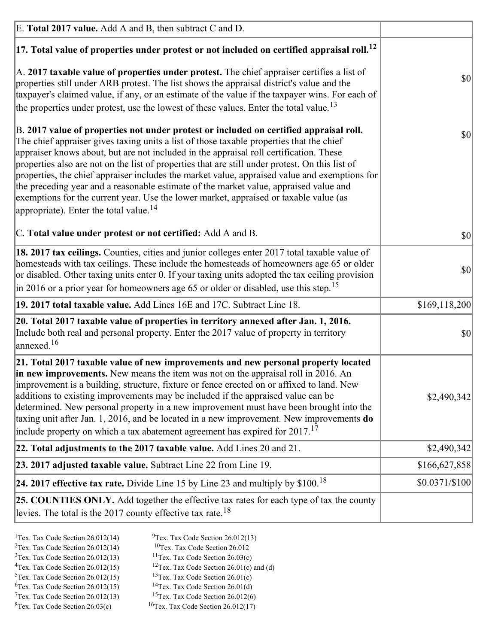| E. Total 2017 value. Add A and B, then subtract C and D.                                                                                                                                                                                                                                                                                                                                                                                                                                                                                                                                                                                                                                                                 |                |
|--------------------------------------------------------------------------------------------------------------------------------------------------------------------------------------------------------------------------------------------------------------------------------------------------------------------------------------------------------------------------------------------------------------------------------------------------------------------------------------------------------------------------------------------------------------------------------------------------------------------------------------------------------------------------------------------------------------------------|----------------|
| $ 17$ . Total value of properties under protest or not included on certified appraisal roll. <sup>12</sup>                                                                                                                                                                                                                                                                                                                                                                                                                                                                                                                                                                                                               |                |
| A. 2017 taxable value of properties under protest. The chief appraiser certifies a list of<br>properties still under ARB protest. The list shows the appraisal district's value and the<br>taxpayer's claimed value, if any, or an estimate of the value if the taxpayer wins. For each of<br>the properties under protest, use the lowest of these values. Enter the total value. <sup>13</sup>                                                                                                                                                                                                                                                                                                                         | \$0            |
| B. 2017 value of properties not under protest or included on certified appraisal roll.<br>The chief appraiser gives taxing units a list of those taxable properties that the chief<br>appraiser knows about, but are not included in the appraisal roll certification. These<br>properties also are not on the list of properties that are still under protest. On this list of<br>properties, the chief appraiser includes the market value, appraised value and exemptions for<br>the preceding year and a reasonable estimate of the market value, appraised value and<br>exemptions for the current year. Use the lower market, appraised or taxable value (as<br>appropriate). Enter the total value. <sup>14</sup> | <b>\$0</b>     |
| C. Total value under protest or not certified: Add A and B.                                                                                                                                                                                                                                                                                                                                                                                                                                                                                                                                                                                                                                                              | $ 10\rangle$   |
| 18. 2017 tax ceilings. Counties, cities and junior colleges enter 2017 total taxable value of<br>homesteads with tax ceilings. These include the homesteads of homeowners age 65 or older<br>or disabled. Other taxing units enter 0. If your taxing units adopted the tax ceiling provision<br>$\vert$ in 2016 or a prior year for homeowners age 65 or older or disabled, use this step. <sup>15</sup>                                                                                                                                                                                                                                                                                                                 | \$0            |
| 19. 2017 total taxable value. Add Lines 16E and 17C. Subtract Line 18.                                                                                                                                                                                                                                                                                                                                                                                                                                                                                                                                                                                                                                                   | \$169,118,200  |
| 20. Total 2017 taxable value of properties in territory annexed after Jan. 1, 2016.<br>Include both real and personal property. Enter the 2017 value of property in territory<br>$\vert$ annexed. <sup>16</sup>                                                                                                                                                                                                                                                                                                                                                                                                                                                                                                          | $ 10\rangle$   |
| 21. Total 2017 taxable value of new improvements and new personal property located<br>in new improvements. New means the item was not on the appraisal roll in 2016. An<br>improvement is a building, structure, fixture or fence erected on or affixed to land. New<br>additions to existing improvements may be included if the appraised value can be<br>determined. New personal property in a new improvement must have been brought into the<br>taxing unit after Jan. 1, 2016, and be located in a new improvement. New improvements <b>do</b><br>include property on which a tax abatement agreement has expired for $2017$ . <sup>17</sup>                                                                      | \$2,490,342    |
| 22. Total adjustments to the 2017 taxable value. Add Lines 20 and 21.                                                                                                                                                                                                                                                                                                                                                                                                                                                                                                                                                                                                                                                    | \$2,490,342    |
| 23. 2017 adjusted taxable value. Subtract Line 22 from Line 19.                                                                                                                                                                                                                                                                                                                                                                                                                                                                                                                                                                                                                                                          | \$166,627,858  |
| 24. 2017 effective tax rate. Divide Line 15 by Line 23 and multiply by $$100$ . <sup>18</sup>                                                                                                                                                                                                                                                                                                                                                                                                                                                                                                                                                                                                                            | \$0.0371/\$100 |
| 25. COUNTIES ONLY. Add together the effective tax rates for each type of tax the county<br>levies. The total is the 2017 county effective tax rate. <sup>18</sup>                                                                                                                                                                                                                                                                                                                                                                                                                                                                                                                                                        |                |

- <sup>2</sup>Tex. Tax Code Section 26.012(14)
- <sup>1</sup>Tex. Tax Code Section 26.012(14) <sup>9</sup>Tex. Tax Code Section 26.012(13) <sup>9</sup>Tex. Tax Code Section 26.012
	-
- <sup>3</sup>Tex. Tax Code Section 26.012(13) <sup>11</sup>Tex. Tax Code Section 26.03(c) <sup>4</sup>Tex. Tax Code Section 26.01(c) and <sup>12</sup>Tex. Tax Code Section 26.01(c) and <sup>12</sup>Tex. Tax Code Section 26.01(c) and <sup>12</sup>Tex. Tax Code Section 26.01(c)
	- <sup>12</sup>Tex. Tax Code Section 26.01(c) and (d)
- 
- <sup>5</sup>Tex. Tax Code Section 26.012(15) <sup>13</sup>Tex. Tax Code Section 26.01(c) <sup>6</sup>Tex. Tax Code Section 26.01(d) <sup>6</sup>Tex. Tax Code Section 26.012(15) <sup>14</sup>Tex. Tax Code Section 26.01(d)<sup>7</sup>Tex. Tax Code Section 26.012(6)
- $7$ Tex. Tax Code Section 26.012(13)
- 
- 
- ${}^{8}$ Tex. Tax Code Section 26.03(c)  ${}^{16}$ Tex. Tax Code Section 26.012(17)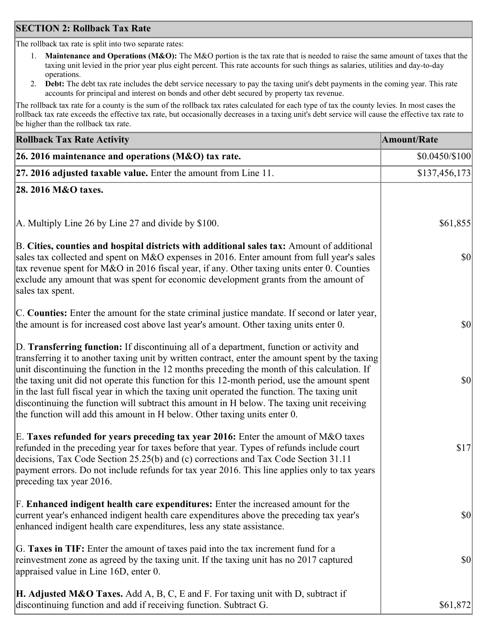### **SECTION 2: Rollback Tax Rate**

The rollback tax rate is split into two separate rates:

- 1. **Maintenance and Operations (M&O):** The M&O portion is the tax rate that is needed to raise the same amount of taxes that the taxing unit levied in the prior year plus eight percent. This rate accounts for such things as salaries, utilities and day-to-day operations.
- 2. **Debt:** The debt tax rate includes the debt service necessary to pay the taxing unit's debt payments in the coming year. This rate accounts for principal and interest on bonds and other debt secured by property tax revenue.

The rollback tax rate for a county is the sum of the rollback tax rates calculated for each type of tax the county levies. In most cases the rollback tax rate exceeds the effective tax rate, but occasionally decreases in a taxing unit's debt service will cause the effective tax rate to be higher than the rollback tax rate.

| <b>Rollback Tax Rate Activity</b>                                                                                                                                                                                                                                                                                                                                                                                                                                                                                                                                                                                                                                       | <b>Amount/Rate</b> |
|-------------------------------------------------------------------------------------------------------------------------------------------------------------------------------------------------------------------------------------------------------------------------------------------------------------------------------------------------------------------------------------------------------------------------------------------------------------------------------------------------------------------------------------------------------------------------------------------------------------------------------------------------------------------------|--------------------|
| 26. 2016 maintenance and operations (M&O) tax rate.                                                                                                                                                                                                                                                                                                                                                                                                                                                                                                                                                                                                                     | $$0.0450/\$100$    |
| $ 27.2016$ adjusted taxable value. Enter the amount from Line 11.                                                                                                                                                                                                                                                                                                                                                                                                                                                                                                                                                                                                       | \$137,456,173      |
| 28. 2016 M&O taxes.                                                                                                                                                                                                                                                                                                                                                                                                                                                                                                                                                                                                                                                     |                    |
|                                                                                                                                                                                                                                                                                                                                                                                                                                                                                                                                                                                                                                                                         |                    |
| A. Multiply Line 26 by Line 27 and divide by \$100.                                                                                                                                                                                                                                                                                                                                                                                                                                                                                                                                                                                                                     | \$61,855           |
| B. Cities, counties and hospital districts with additional sales tax: Amount of additional<br>sales tax collected and spent on M&O expenses in 2016. Enter amount from full year's sales<br>tax revenue spent for M&O in 2016 fiscal year, if any. Other taxing units enter 0. Counties<br>exclude any amount that was spent for economic development grants from the amount of<br>sales tax spent.                                                                                                                                                                                                                                                                     | 30                 |
| C. Counties: Enter the amount for the state criminal justice mandate. If second or later year,<br>the amount is for increased cost above last year's amount. Other taxing units enter 0.                                                                                                                                                                                                                                                                                                                                                                                                                                                                                | 30                 |
| D. Transferring function: If discontinuing all of a department, function or activity and<br>transferring it to another taxing unit by written contract, enter the amount spent by the taxing<br>unit discontinuing the function in the 12 months preceding the month of this calculation. If<br>the taxing unit did not operate this function for this 12-month period, use the amount spent<br>in the last full fiscal year in which the taxing unit operated the function. The taxing unit<br>discontinuing the function will subtract this amount in H below. The taxing unit receiving<br>the function will add this amount in H below. Other taxing units enter 0. | \$0                |
| E. Taxes refunded for years preceding tax year 2016: Enter the amount of M&O taxes<br>refunded in the preceding year for taxes before that year. Types of refunds include court<br>decisions, Tax Code Section 25.25(b) and (c) corrections and Tax Code Section 31.11<br>payment errors. Do not include refunds for tax year 2016. This line applies only to tax years<br>preceding tax year 2016.                                                                                                                                                                                                                                                                     | \$17               |
| F. Enhanced indigent health care expenditures: Enter the increased amount for the<br>current year's enhanced indigent health care expenditures above the preceding tax year's<br>enhanced indigent health care expenditures, less any state assistance.                                                                                                                                                                                                                                                                                                                                                                                                                 | $ 10\rangle$       |
| G. Taxes in TIF: Enter the amount of taxes paid into the tax increment fund for a<br>reinvestment zone as agreed by the taxing unit. If the taxing unit has no 2017 captured<br>appraised value in Line 16D, enter 0.                                                                                                                                                                                                                                                                                                                                                                                                                                                   | $ 10\rangle$       |
| <b>H. Adjusted M&amp;O Taxes.</b> Add A, B, C, E and F. For taxing unit with D, subtract if<br>discontinuing function and add if receiving function. Subtract G.                                                                                                                                                                                                                                                                                                                                                                                                                                                                                                        | \$61,872           |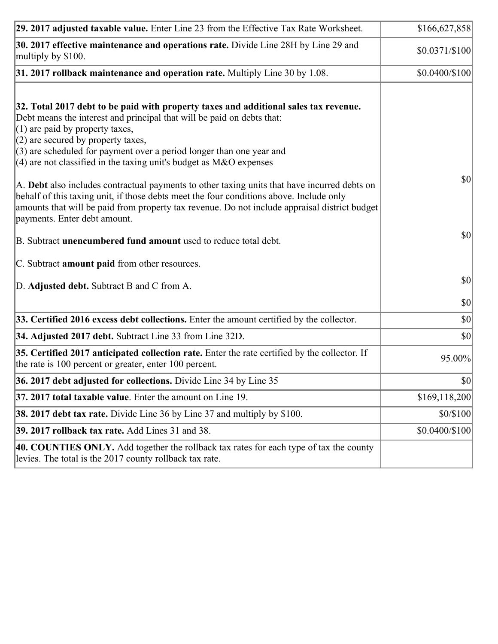| 29. 2017 adjusted taxable value. Enter Line 23 from the Effective Tax Rate Worksheet.                                                                                                                                                                                                                                                                                                                                                                                                                                                                                                                                                                                                                                     | \$166,627,858   |
|---------------------------------------------------------------------------------------------------------------------------------------------------------------------------------------------------------------------------------------------------------------------------------------------------------------------------------------------------------------------------------------------------------------------------------------------------------------------------------------------------------------------------------------------------------------------------------------------------------------------------------------------------------------------------------------------------------------------------|-----------------|
| 30. 2017 effective maintenance and operations rate. Divide Line 28H by Line 29 and<br>multiply by \$100.                                                                                                                                                                                                                                                                                                                                                                                                                                                                                                                                                                                                                  | $$0.0371/\$100$ |
| $31.2017$ rollback maintenance and operation rate. Multiply Line 30 by 1.08.                                                                                                                                                                                                                                                                                                                                                                                                                                                                                                                                                                                                                                              | \$0.0400/\$100  |
| 32. Total 2017 debt to be paid with property taxes and additional sales tax revenue.<br>Debt means the interest and principal that will be paid on debts that:<br>$(1)$ are paid by property taxes,<br>$(2)$ are secured by property taxes,<br>$(3)$ are scheduled for payment over a period longer than one year and<br>(4) are not classified in the taxing unit's budget as $M&O$ expenses<br>A. Debt also includes contractual payments to other taxing units that have incurred debts on<br>behalf of this taxing unit, if those debts meet the four conditions above. Include only<br>amounts that will be paid from property tax revenue. Do not include appraisal district budget<br>payments. Enter debt amount. | $ 10\rangle$    |
| B. Subtract unencumbered fund amount used to reduce total debt.                                                                                                                                                                                                                                                                                                                                                                                                                                                                                                                                                                                                                                                           | $ 10\rangle$    |
| C. Subtract amount paid from other resources.                                                                                                                                                                                                                                                                                                                                                                                                                                                                                                                                                                                                                                                                             |                 |
| D. Adjusted debt. Subtract B and C from A.                                                                                                                                                                                                                                                                                                                                                                                                                                                                                                                                                                                                                                                                                | $ 10\rangle$    |
|                                                                                                                                                                                                                                                                                                                                                                                                                                                                                                                                                                                                                                                                                                                           | $ 10\rangle$    |
| 33. Certified 2016 excess debt collections. Enter the amount certified by the collector.                                                                                                                                                                                                                                                                                                                                                                                                                                                                                                                                                                                                                                  | $ 10\rangle$    |
| 34. Adjusted 2017 debt. Subtract Line 33 from Line 32D.                                                                                                                                                                                                                                                                                                                                                                                                                                                                                                                                                                                                                                                                   | $ 10\rangle$    |
| 35. Certified 2017 anticipated collection rate. Enter the rate certified by the collector. If<br>the rate is 100 percent or greater, enter 100 percent.                                                                                                                                                                                                                                                                                                                                                                                                                                                                                                                                                                   | 95.00%          |
| 36. 2017 debt adjusted for collections. Divide Line 34 by Line 35                                                                                                                                                                                                                                                                                                                                                                                                                                                                                                                                                                                                                                                         | $ 10\rangle$    |
| $ 37, 2017$ total taxable value. Enter the amount on Line 19.                                                                                                                                                                                                                                                                                                                                                                                                                                                                                                                                                                                                                                                             | \$169, 118, 200 |
| <b>38. 2017 debt tax rate.</b> Divide Line 36 by Line 37 and multiply by $$100$ .                                                                                                                                                                                                                                                                                                                                                                                                                                                                                                                                                                                                                                         | \$0/\$100       |
| 39. 2017 rollback tax rate. Add Lines 31 and 38.                                                                                                                                                                                                                                                                                                                                                                                                                                                                                                                                                                                                                                                                          | \$0.0400/\$100  |
| 40. COUNTIES ONLY. Add together the rollback tax rates for each type of tax the county<br>levies. The total is the 2017 county rollback tax rate.                                                                                                                                                                                                                                                                                                                                                                                                                                                                                                                                                                         |                 |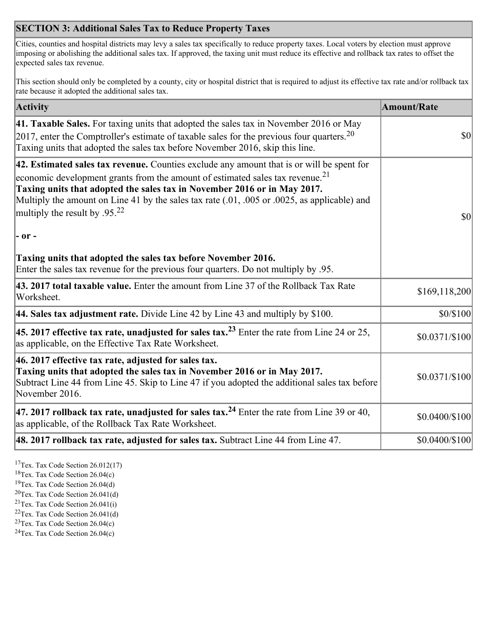## **SECTION 3: Additional Sales Tax to Reduce Property Taxes**

Cities, counties and hospital districts may levy a sales tax specifically to reduce property taxes. Local voters by election must approve imposing or abolishing the additional sales tax. If approved, the taxing unit must reduce its effective and rollback tax rates to offset the expected sales tax revenue.

This section should only be completed by a county, city or hospital district that is required to adjust its effective tax rate and/or rollback tax rate because it adopted the additional sales tax.

| <b>Activity</b>                                                                                                                                                                                                                                                                                                                                                                                                 | <b>Amount/Rate</b> |
|-----------------------------------------------------------------------------------------------------------------------------------------------------------------------------------------------------------------------------------------------------------------------------------------------------------------------------------------------------------------------------------------------------------------|--------------------|
| 41. Taxable Sales. For taxing units that adopted the sales tax in November 2016 or May<br>[2017, enter the Comptroller's estimate of taxable sales for the previous four quarters. <sup>20</sup><br>Taxing units that adopted the sales tax before November 2016, skip this line.                                                                                                                               | $\vert$ so $\vert$ |
| 42. Estimated sales tax revenue. Counties exclude any amount that is or will be spent for<br>economic development grants from the amount of estimated sales tax revenue. <sup>21</sup><br>Taxing units that adopted the sales tax in November 2016 or in May 2017.<br>Multiply the amount on Line 41 by the sales tax rate (.01, .005 or .0025, as applicable) and<br>multiply the result by .95. <sup>22</sup> | \$0                |
| $ -$ or $-$                                                                                                                                                                                                                                                                                                                                                                                                     |                    |
| Taxing units that adopted the sales tax before November 2016.<br>Enter the sales tax revenue for the previous four quarters. Do not multiply by .95.                                                                                                                                                                                                                                                            |                    |
| 43. 2017 total taxable value. Enter the amount from Line 37 of the Rollback Tax Rate<br>Worksheet.                                                                                                                                                                                                                                                                                                              | \$169,118,200      |
| 44. Sales tax adjustment rate. Divide Line 42 by Line 43 and multiply by $$100$ .                                                                                                                                                                                                                                                                                                                               | \$0/\$100          |
| 45. 2017 effective tax rate, unadjusted for sales tax. <sup>23</sup> Enter the rate from Line 24 or 25,<br>as applicable, on the Effective Tax Rate Worksheet.                                                                                                                                                                                                                                                  | $$0.0371/\$100$    |
| 46. 2017 effective tax rate, adjusted for sales tax.<br>Taxing units that adopted the sales tax in November 2016 or in May 2017.<br>Subtract Line 44 from Line 45. Skip to Line 47 if you adopted the additional sales tax before<br>November 2016.                                                                                                                                                             | \$0.0371/\$100     |
| 47. 2017 rollback tax rate, unadjusted for sales tax. <sup>24</sup> Enter the rate from Line 39 or 40,<br>as applicable, of the Rollback Tax Rate Worksheet.                                                                                                                                                                                                                                                    | \$0.0400/\$100     |
| $ 48.2017$ rollback tax rate, adjusted for sales tax. Subtract Line 44 from Line 47.                                                                                                                                                                                                                                                                                                                            | \$0.0400/\$100     |

<sup>17</sup>Tex. Tax Code Section 26.012(17)

<sup>18</sup>Tex. Tax Code Section 26.04(c)

<sup>19</sup>Tex. Tax Code Section 26.04(d)

<sup>20</sup>Tex. Tax Code Section 26.041(d)

- $21$ Tex. Tax Code Section 26.041(i)
- <sup>22</sup>Tex. Tax Code Section 26.041(d)
- <sup>23</sup>Tex. Tax Code Section  $26.04(c)$

<sup>24</sup>Tex. Tax Code Section  $26.04(c)$